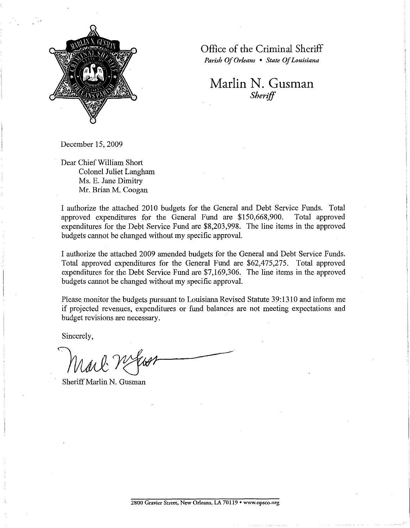

Office of the Criminal Sheriff *Parish Of Orleans* • *State Of Louisiana* 

**Marlin N. Gusman**  *Sheriff* 

December 15, 2009

Dear Chief William Short Colonel Juliet Langham Ms. E. Jane Dimitry Mr. Brian M. Coogan

I authorize the attached 2010 budgets for the General and Debt Service Funds. Total approved expenditures for the General Fund are \$150,668,900. Total approved expenditures for the Debt Service Fund are \$8,203,998. The line items in the approved budgets cannot be changed without my specific approval.

I authorize the attached 2009 amended budgets for the General and Debt Service Funds. Total approved expenditures for the General Fund are \$62,475,275. Total approved expenditures for the Debt Service Fund are \$7,169,306. The line items in the approved budgets cannot be changed without my specific approval.

Please monitor the budgets pursuant to Louisiana Revised Statute 39:1310 and inform me if projected revenues, expenditures or fund balances are not meeting expectations and budget revisions are necessary.

Sincerely,

Sheriff Marlin N. Gusman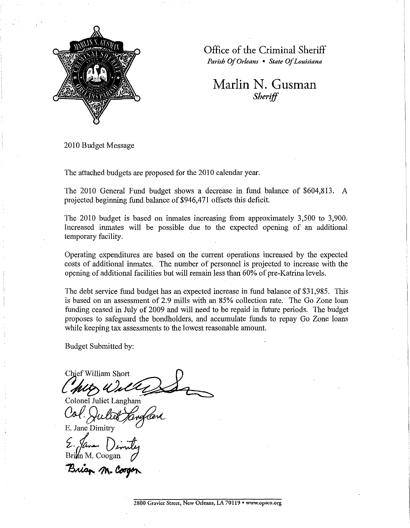

Office of the Criminal Sheriff *Parish Of Orleans* • *State Of Louisiana* 

## **Marlin N. Gusman**  *Sheriff*

2010 Budget Message

The attached budgets are proposed for the 2010 calendar year.

The 2010 General Fund budget shows a decrease in fund balance of \$604,813. A projected beginning fund balance of \$946,471 offsets this deficit.

The 2010 budget is based on inmates increasing from approximately 3,500 to 3,900. Increased inmates will be possible due to the expected opening of an additional temporary facility.

Operating expenditures are based on the current operations increased by the expected costs of additional inmates. The number of personnel is projected to increase with the opening of additional facilities but will remain less than 60% of pre-Katrina levels.

The debt service fund budget has an expected increase in fund balance of \$31,985. This is based on an assessment of 2.9 mills with an 85% collection rate. The Go Zone loan funding ceased in July of 2009 and will need to be repaid in future periods. The budget proposes to safeguard the bondholders, and accumulate funds to repay Go Zone loans while keeping tax assessments to the lowest reasonable amount.

Budget Submitted by:

Chief William Short<br>MAG Unlet<br>Colonel Juliet Langham

Col. Juliet Jang

 $\Sigma$ . Jâne Din<br>Brinn M. Coogan

Brian M. Coogan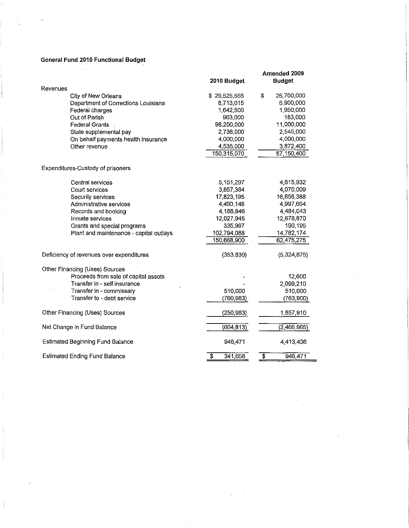### **General Fund 2010 Functional Budget**

| Revenues<br>\$<br>City of New Orleans<br>\$29,525,555<br>26,700,000<br>6,900,000<br>Department of Corrections Louisiana<br>8,713,015<br>1950.000<br>Federal charges<br>1,642,500<br>183,000<br>Out of Parish<br>963,000<br>98,200,000<br>11,000,000<br><b>Federal Grants</b><br>2 736,000<br>2,545,000<br>State supplemental pay<br>4,000,000<br>4,000,000<br>On behalf payments health insurance<br>Other revenue<br>3,872,400<br>4,535,000<br>150,315,070<br>57 150 400<br>Expenditures-Custody of prisoners<br>Central services<br>5,151,297<br>4,615.932<br>3,857,384<br>4 070 009<br>Court services<br>16,656,388<br>Security services<br>17,823,195<br>4,997 664<br>Administrative services<br>4,490,148<br>4,484,043<br>Records and booking<br>4,188,846<br>12,027,945<br>12,678,870<br>Inmate services<br>190,195<br>335,997<br>Grants and special programs<br>Plant and maintenance - capital outlays<br>102.794,088<br>14,782,174<br>150,668,900<br>62,475,275<br>(353.830)<br>Deficiency of revenues over expenditures<br>(5,324,875)<br>Other Financing (Uses) Sources<br>Proceeds from sale of capital assets<br>12,600<br>Transfer in - self insurance<br>2,099.210<br>Transfer in - commissary<br>510,000<br>510,000<br>Transfer to - debt service<br>(763,900)<br>(760, 983)<br>Other Financing (Uses) Sources<br>(250, 983)<br>1,857,910<br>(604, 813)<br>(3,466,965)<br>Net Change in Fund Balance<br><b>Estimated Beginning Fund Balance</b><br>946,471<br>4,413,436<br><b>Estimated Ending Fund Balance</b><br>$\overline{\$}$<br>946,471<br>341,658<br>\$ | Amended 2009<br><b>Budget</b> |  |
|--------------------------------------------------------------------------------------------------------------------------------------------------------------------------------------------------------------------------------------------------------------------------------------------------------------------------------------------------------------------------------------------------------------------------------------------------------------------------------------------------------------------------------------------------------------------------------------------------------------------------------------------------------------------------------------------------------------------------------------------------------------------------------------------------------------------------------------------------------------------------------------------------------------------------------------------------------------------------------------------------------------------------------------------------------------------------------------------------------------------------------------------------------------------------------------------------------------------------------------------------------------------------------------------------------------------------------------------------------------------------------------------------------------------------------------------------------------------------------------------------------------------------------------------------------------------------------|-------------------------------|--|
|                                                                                                                                                                                                                                                                                                                                                                                                                                                                                                                                                                                                                                                                                                                                                                                                                                                                                                                                                                                                                                                                                                                                                                                                                                                                                                                                                                                                                                                                                                                                                                                | 2010 Budget                   |  |
|                                                                                                                                                                                                                                                                                                                                                                                                                                                                                                                                                                                                                                                                                                                                                                                                                                                                                                                                                                                                                                                                                                                                                                                                                                                                                                                                                                                                                                                                                                                                                                                |                               |  |
|                                                                                                                                                                                                                                                                                                                                                                                                                                                                                                                                                                                                                                                                                                                                                                                                                                                                                                                                                                                                                                                                                                                                                                                                                                                                                                                                                                                                                                                                                                                                                                                |                               |  |
|                                                                                                                                                                                                                                                                                                                                                                                                                                                                                                                                                                                                                                                                                                                                                                                                                                                                                                                                                                                                                                                                                                                                                                                                                                                                                                                                                                                                                                                                                                                                                                                |                               |  |
|                                                                                                                                                                                                                                                                                                                                                                                                                                                                                                                                                                                                                                                                                                                                                                                                                                                                                                                                                                                                                                                                                                                                                                                                                                                                                                                                                                                                                                                                                                                                                                                |                               |  |
|                                                                                                                                                                                                                                                                                                                                                                                                                                                                                                                                                                                                                                                                                                                                                                                                                                                                                                                                                                                                                                                                                                                                                                                                                                                                                                                                                                                                                                                                                                                                                                                |                               |  |
|                                                                                                                                                                                                                                                                                                                                                                                                                                                                                                                                                                                                                                                                                                                                                                                                                                                                                                                                                                                                                                                                                                                                                                                                                                                                                                                                                                                                                                                                                                                                                                                |                               |  |
|                                                                                                                                                                                                                                                                                                                                                                                                                                                                                                                                                                                                                                                                                                                                                                                                                                                                                                                                                                                                                                                                                                                                                                                                                                                                                                                                                                                                                                                                                                                                                                                |                               |  |
|                                                                                                                                                                                                                                                                                                                                                                                                                                                                                                                                                                                                                                                                                                                                                                                                                                                                                                                                                                                                                                                                                                                                                                                                                                                                                                                                                                                                                                                                                                                                                                                |                               |  |
|                                                                                                                                                                                                                                                                                                                                                                                                                                                                                                                                                                                                                                                                                                                                                                                                                                                                                                                                                                                                                                                                                                                                                                                                                                                                                                                                                                                                                                                                                                                                                                                |                               |  |
|                                                                                                                                                                                                                                                                                                                                                                                                                                                                                                                                                                                                                                                                                                                                                                                                                                                                                                                                                                                                                                                                                                                                                                                                                                                                                                                                                                                                                                                                                                                                                                                |                               |  |
|                                                                                                                                                                                                                                                                                                                                                                                                                                                                                                                                                                                                                                                                                                                                                                                                                                                                                                                                                                                                                                                                                                                                                                                                                                                                                                                                                                                                                                                                                                                                                                                |                               |  |
|                                                                                                                                                                                                                                                                                                                                                                                                                                                                                                                                                                                                                                                                                                                                                                                                                                                                                                                                                                                                                                                                                                                                                                                                                                                                                                                                                                                                                                                                                                                                                                                |                               |  |
|                                                                                                                                                                                                                                                                                                                                                                                                                                                                                                                                                                                                                                                                                                                                                                                                                                                                                                                                                                                                                                                                                                                                                                                                                                                                                                                                                                                                                                                                                                                                                                                |                               |  |
|                                                                                                                                                                                                                                                                                                                                                                                                                                                                                                                                                                                                                                                                                                                                                                                                                                                                                                                                                                                                                                                                                                                                                                                                                                                                                                                                                                                                                                                                                                                                                                                |                               |  |
|                                                                                                                                                                                                                                                                                                                                                                                                                                                                                                                                                                                                                                                                                                                                                                                                                                                                                                                                                                                                                                                                                                                                                                                                                                                                                                                                                                                                                                                                                                                                                                                |                               |  |
|                                                                                                                                                                                                                                                                                                                                                                                                                                                                                                                                                                                                                                                                                                                                                                                                                                                                                                                                                                                                                                                                                                                                                                                                                                                                                                                                                                                                                                                                                                                                                                                |                               |  |
|                                                                                                                                                                                                                                                                                                                                                                                                                                                                                                                                                                                                                                                                                                                                                                                                                                                                                                                                                                                                                                                                                                                                                                                                                                                                                                                                                                                                                                                                                                                                                                                |                               |  |
|                                                                                                                                                                                                                                                                                                                                                                                                                                                                                                                                                                                                                                                                                                                                                                                                                                                                                                                                                                                                                                                                                                                                                                                                                                                                                                                                                                                                                                                                                                                                                                                |                               |  |
|                                                                                                                                                                                                                                                                                                                                                                                                                                                                                                                                                                                                                                                                                                                                                                                                                                                                                                                                                                                                                                                                                                                                                                                                                                                                                                                                                                                                                                                                                                                                                                                |                               |  |
|                                                                                                                                                                                                                                                                                                                                                                                                                                                                                                                                                                                                                                                                                                                                                                                                                                                                                                                                                                                                                                                                                                                                                                                                                                                                                                                                                                                                                                                                                                                                                                                |                               |  |
|                                                                                                                                                                                                                                                                                                                                                                                                                                                                                                                                                                                                                                                                                                                                                                                                                                                                                                                                                                                                                                                                                                                                                                                                                                                                                                                                                                                                                                                                                                                                                                                |                               |  |
|                                                                                                                                                                                                                                                                                                                                                                                                                                                                                                                                                                                                                                                                                                                                                                                                                                                                                                                                                                                                                                                                                                                                                                                                                                                                                                                                                                                                                                                                                                                                                                                |                               |  |
|                                                                                                                                                                                                                                                                                                                                                                                                                                                                                                                                                                                                                                                                                                                                                                                                                                                                                                                                                                                                                                                                                                                                                                                                                                                                                                                                                                                                                                                                                                                                                                                |                               |  |
|                                                                                                                                                                                                                                                                                                                                                                                                                                                                                                                                                                                                                                                                                                                                                                                                                                                                                                                                                                                                                                                                                                                                                                                                                                                                                                                                                                                                                                                                                                                                                                                |                               |  |
|                                                                                                                                                                                                                                                                                                                                                                                                                                                                                                                                                                                                                                                                                                                                                                                                                                                                                                                                                                                                                                                                                                                                                                                                                                                                                                                                                                                                                                                                                                                                                                                |                               |  |
|                                                                                                                                                                                                                                                                                                                                                                                                                                                                                                                                                                                                                                                                                                                                                                                                                                                                                                                                                                                                                                                                                                                                                                                                                                                                                                                                                                                                                                                                                                                                                                                |                               |  |
|                                                                                                                                                                                                                                                                                                                                                                                                                                                                                                                                                                                                                                                                                                                                                                                                                                                                                                                                                                                                                                                                                                                                                                                                                                                                                                                                                                                                                                                                                                                                                                                |                               |  |
|                                                                                                                                                                                                                                                                                                                                                                                                                                                                                                                                                                                                                                                                                                                                                                                                                                                                                                                                                                                                                                                                                                                                                                                                                                                                                                                                                                                                                                                                                                                                                                                |                               |  |
|                                                                                                                                                                                                                                                                                                                                                                                                                                                                                                                                                                                                                                                                                                                                                                                                                                                                                                                                                                                                                                                                                                                                                                                                                                                                                                                                                                                                                                                                                                                                                                                |                               |  |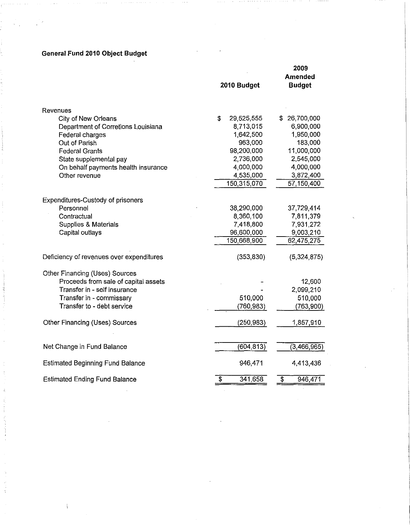# **General Fund 2010 Object Budget**

ŧ

|                                                           | 2010 Budget                   | 2009<br>Amended<br><b>Budget</b>     |
|-----------------------------------------------------------|-------------------------------|--------------------------------------|
| Revenues                                                  |                               |                                      |
| City of New Orleans<br>Department of Corretions Louisiana | \$<br>29,525,555<br>8,713,015 | \$26,700,000<br>6,900,000            |
| Federal charges                                           | 1,642,500                     | 1,950,000                            |
| Out of Parish                                             | 963,000                       | 183,000                              |
| <b>Federal Grants</b>                                     | 98,200,000                    | 11,000,000                           |
| State supplemental pay                                    | 2,736,000                     | 2,545,000                            |
| On behalf payments health insurance                       | 4,000,000                     | 4,000,000                            |
| Other revenue                                             | 4,535,000                     | 3,872,400                            |
|                                                           | 150,315,070                   | 57 150,400                           |
| <b>Expenditures-Custody of prisoners</b>                  |                               |                                      |
| Personnel                                                 | 38,290,000                    | 37,729,414                           |
| Contractual                                               | 8,360,100                     | 7,811,379                            |
| Supplies & Materials                                      | 7,418,800                     | 7,931,272                            |
| Capital outlays                                           | 96,600,000                    | 9,003,210                            |
|                                                           | 150,668,900                   | 62,475,275                           |
| Deficiency of revenues over expenditures                  | (353, 830)                    | (5,324,875)                          |
| Other Financing (Uses) Sources                            |                               |                                      |
| Proceeds from sale of capital assets                      |                               | 12,600                               |
| Transfer in - self insurance                              |                               | 2,099,210                            |
| Transfer in - commissary                                  | 510,000                       | 510,000                              |
| Transfer to - debt service                                | (760,983)                     | (763,900)                            |
| Other Financing (Uses) Sources                            | (250, 983)                    | 1,857,910                            |
|                                                           |                               |                                      |
| Net Change in Fund Balance                                | (604, 813)                    | (3,466,965)                          |
| <b>Estimated Beginning Fund Balance</b>                   | 946,471                       | 4,413,436                            |
| <b>Estimated Ending Fund Balance</b>                      | \$<br>341,658                 | $\overline{\mathfrak{s}}$<br>946,471 |
|                                                           |                               |                                      |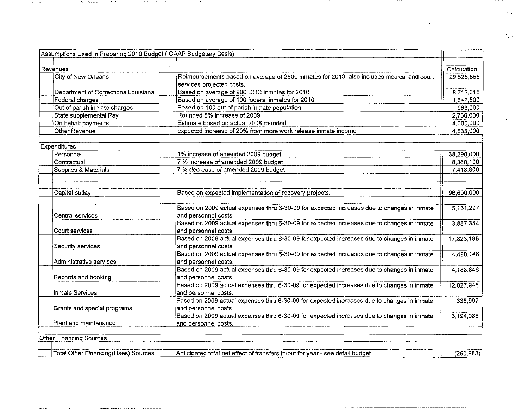| Assumptions Used in Preparing 2010 Budget (GAAP Budgetary Basis) |                                                                                                                        |             |
|------------------------------------------------------------------|------------------------------------------------------------------------------------------------------------------------|-------------|
|                                                                  |                                                                                                                        |             |
| Revenues                                                         |                                                                                                                        | Calculation |
| City of New Orleans                                              | Reimbursements based on average of 2800 inmates for 2010, also includes medical and court<br>services projected costs. | 29,525,555  |
| Department of Corrections Louisiana                              | Based on average of 900 DOC inmates for 2010                                                                           | 8,713,015   |
| Federal charges                                                  | Based on average of 100 federal inmates for 2010                                                                       | 1642,500    |
| Out of parish inmate charges                                     | Based on 100 out of parish inmate population                                                                           | 963.000     |
| State supplemental Pay                                           | Rounded 8% increase of 2009                                                                                            | 2,736,000   |
| On behalf payments                                               | Estimate based on actual 2008 rounded                                                                                  | 4,000,000   |
| Other Revenue                                                    | expected increase of 20% from more work release inmate income                                                          | 4 535 000   |
| Expenditures                                                     |                                                                                                                        |             |
| Personnel                                                        | 1% increase of amended 2009 budget                                                                                     | 38,290,000  |
| Contractual                                                      | 7 % increase of amended 2009 budget                                                                                    | 8,360,100   |
| Supplies & Materials                                             | 7 % decrease of amended 2009 budget                                                                                    | 7,418,800   |
| Capital outlay                                                   | Based on expected implementation of recovery projects.                                                                 | 96,600,000  |
| Central services                                                 | Based on 2009 actual expenses thru 6-30-09 for expected increases due to changes in inmate<br>and personnel costs.     | 5 151,297   |
| Court services                                                   | Based on 2009 actual expenses thru 6-30-09 for expected increases due to changes in inmate<br>and personnel costs.     | 3,857,384   |
| Security services                                                | Based on 2009 actual expenses thru 6-30-09 for expected increases due to changes in inmate<br>and personnel costs.     | 17,823,195  |
| Administrative services                                          | Based on 2009 actual expenses thru 6-30-09 for expected increases due to changes in inmate<br>and personnel costs.     | 4,490,148   |
| Records and booking                                              | Based on 2009 actual expenses thru 6-30-09 for expected increases due to changes in inmate<br>and personnel costs.     | 4,188,846   |
| Inmate Services                                                  | Based on 2009 actual expenses thru 6-30-09 for expected increases due to changes in inmate<br>and personnel costs.     | 12,027,945  |
| Grants and special programs                                      | Based on 2009 actual expenses thru 6-30-09 for expected increases due to changes in inmate<br>and personnel costs.     | 335,997     |
| Plant and maintenance                                            | Based on 2009 actual expenses thru 6-30-09 for expected increases due to changes in inmate<br>and personnel costs.     | 6,194,088   |
| <b>Other Financing Sources</b>                                   |                                                                                                                        |             |
|                                                                  |                                                                                                                        |             |
| <b>Total Other Financing (Uses) Sources</b>                      | Anticipated total net effect of transfers in/out for year - see detail budget                                          | (250, 983)  |

 $\sim 10^{11}$  km  $^{-1}$ 

 $\label{eq:2.1} \mathcal{F}_{\text{max}}(x) = \mathcal{F}_{\text{max}}(x) + \mathcal{F}_{\text{max}}(x)$ 

the control of the construction of the control of the

 $\mathcal{L}^{\text{max}}_{\text{max}}$  , where  $\mathcal{L}^{\text{max}}_{\text{max}}$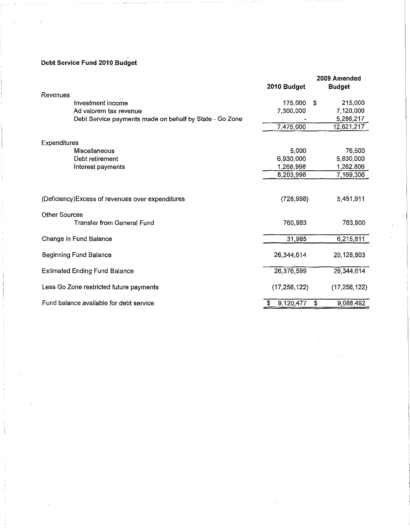## **Debt** Service **Fund 2010 Budget**

|                                                         |                | 2009 Amended    |
|---------------------------------------------------------|----------------|-----------------|
|                                                         | 2010 Budget    | <b>Budget</b>   |
| Revenues                                                |                |                 |
| Investment income                                       | 175,000        | \$<br>215,000   |
| Ad valorem tax revenue                                  | 7,300,000      | 7,120,000       |
| Debt Service payments made on behalf by State - Go Zone |                | 5,286,217       |
|                                                         | 7,475,000      | 12,621,217      |
| Expenditures                                            |                |                 |
| Miscellaneous                                           | 5,000          | 76,500          |
| Debt retirement                                         | 6,930,000      | 5,830,000       |
| Interest payments                                       | 1,268,998      | 1,262,806       |
|                                                         | 8,203,998      | 7,169,306       |
|                                                         |                |                 |
| (Deficiency) Excess of revenues over expenditures       | (728, 998)     | 5,451,911       |
| <b>Other Sources</b>                                    |                |                 |
| <b>Transfer from General Fund</b>                       | 760,983        | 763,900         |
| Change in Fund Balance                                  | 31,985         | 6,215,811       |
| <b>Beginning Fund Balance</b>                           | 26,344,614     | 20,128,803      |
| <b>Estimated Ending Fund Balance</b>                    | 26,376,599     | 26,344,614      |
| Less Go Zone restricted future payments                 | (17, 256, 122) | (17, 256, 122)  |
| Fund balance available for debt service                 | 9,120,477      | 9,088,492<br>\$ |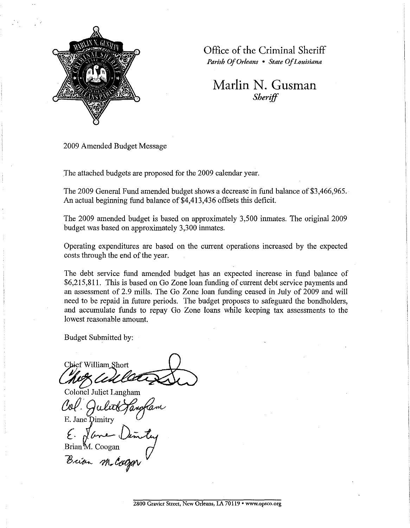

Office of the Criminal Sheriff

*Parish Of Orleans* • *State Of Louisiana* 

**Marlin N. Gusman**  *Sheriff* 

2009 Amended Budget Message

The attached budgets are proposed for the 2009 calendar year.

The 2009 General Fund amended budget shows a decrease in fund balance of \$3,466,965. An actual beginning fund balance of \$4,413,436 offsets this deficit.

The 2009 amended budget is based on approximately 3,500 inmates. The original 2009 budget was based on approximately 3,300 inmates.

Operating expenditures are based on the current operations increased by the expected costs through the end of the year.

The debt service fund amended budget has an expected increase in fund balance of \$6,215,811. This is based on Go Zone loan funding of current debt service payments and an assessment of 2.9 mills. The Go Zone loan funding ceased in July of 2009 and will need to be repaid in future periods. The budget proposes to safeguard the bondholders, and accumulate funds to repay Go Zone loans while keeping tax assessments to the lowest reasonable amount.

Budget Submitted by:

Chief William Short  $\ell^{\prime}$  and  $\ell^{\prime}$  is the substant of  $\Lambda$ .

Colonel Juliet Langham E. Jane Dimitry

Brian M. Coogan<br>Baison M. Cooper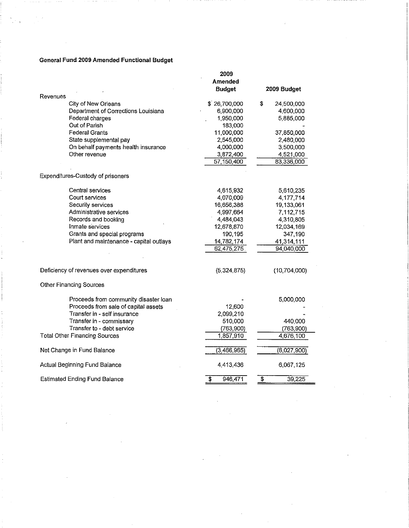### **General Fund 2009 Amended Functional Budget**

|                                          | 2009          |                  |
|------------------------------------------|---------------|------------------|
|                                          | Amended       |                  |
|                                          | <b>Budget</b> | 2009 Budget      |
| Revenues                                 |               |                  |
| City of New Orleans                      | \$26,700,000  | \$<br>24,500,000 |
| Department of Corrections Louisiana      | 6,900,000     | 4,600,000        |
| Federal charges                          | 1,950,000     | 5,885,000        |
| Out of Parish                            | 183,000       |                  |
| <b>Federal Grants</b>                    | 11,000,000    | 37,850,000       |
| State supplemental pay                   | 2,545,000     | 2,480,000        |
| On behalf payments health insurance      | 4,000,000     | 3,500,000        |
| Other revenue                            | 3,872,400     | 4 521,000        |
|                                          | 57,150,400    | 83,336,000       |
|                                          |               |                  |
| Expenditures-Custody of prisoners        |               |                  |
| Central services                         | 4,615,932     | 5,610,235        |
| Court services                           | 4,070,009     | 4,177,714        |
| Security services                        | 16,656,388    | 19,133,061       |
| Administrative services                  | 4,997,664     | 7,112,715        |
| Records and booking                      | 4,484,043     | 4,310,805        |
| Inmate services                          | 12,678,870    | 12,034,169       |
| Grants and special programs              | 190,195       | 347,190          |
| Plant and maintenance - capital outlays  | 14,782,174    | 41.314,111       |
|                                          | 62,475,275    | 94.040,000       |
|                                          |               |                  |
| Deficiency of revenues over expenditures | (5,324,875)   | (10.704,000)     |
| <b>Other Financing Sources</b>           |               |                  |
| Proceeds from community disaster loan    |               | 5,000,000        |
| Proceeds from sale of capital assets     | 12,600        |                  |
| Transfer in - self insurance             | 2,099,210     |                  |
| Transfer in - commissary                 | 510,000       | 440,000          |
| Transfer to - debt service               | (763,900)     | (763,900)        |
| <b>Total Other Financing Sources</b>     | 1,857,910     | 4,676,100        |
|                                          |               |                  |
| Net Change in Fund Balance               | (3,466,965)   | (6,027,900)      |
| Actual Beginning Fund Balance            | 4,413,436     | 6,067,125        |
| <b>Estimated Ending Fund Balance</b>     | T<br>946,471  | \$<br>39,225     |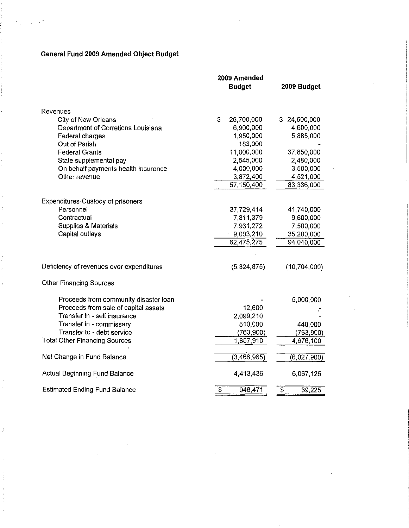## **General Fund 2009 Amended Object Budget**

|                                                                      | 2009 Amended               |                           |
|----------------------------------------------------------------------|----------------------------|---------------------------|
|                                                                      | <b>Budget</b>              | 2009 Budget               |
|                                                                      |                            |                           |
| Revenues                                                             |                            |                           |
| City of New Orleans                                                  | \$<br>26,700,000           | 24,500,000<br>\$.         |
| Department of Corretions Louisiana                                   | 6,900,000                  | 4,600,000                 |
| Federal charges                                                      | 1,950,000                  | 5,885,000                 |
| Out of Parish                                                        | 183,000                    |                           |
| <b>Federal Grants</b>                                                | 11,000,000                 | 37,850,000                |
| State supplemental pay                                               | 2,545,000                  | 2,480,000                 |
| On behalf payments health insurance                                  | 4,000,000                  | 3,500,000                 |
| Other revenue                                                        | 3,872,400                  | 4,521,000                 |
|                                                                      | 57,150,400                 | 83,336,000                |
|                                                                      |                            |                           |
| Expenditures-Custody of prisoners                                    |                            |                           |
| Personnel                                                            | 37,729,414                 | 41,740,000                |
| Contractual                                                          | 7,811,379                  | 9,600,000                 |
| Supplies & Materials                                                 | 7,931,272                  | 7,500,000                 |
| Capital outlays                                                      | 9,003,210                  | 35,200,000                |
|                                                                      | 62,475,275                 | 94,040,000                |
|                                                                      |                            |                           |
| Deficiency of revenues over expenditures                             | (5,324,875)                | (10, 704, 000)            |
| <b>Other Financing Sources</b>                                       |                            |                           |
|                                                                      |                            |                           |
| Proceeds from community disaster loan                                |                            | 5,000,000                 |
| Proceeds from sale of capital assets<br>Transfer in - self insurance | 12,600                     |                           |
| Transfer in - commissary                                             | 2,099,210<br>510,000       |                           |
| Transfer to - debt service                                           | (763, 900)                 | 440,000                   |
| <b>Total Other Financing Sources</b>                                 | 1,857,910                  | (763,900)<br>4,676,100    |
|                                                                      |                            |                           |
| Net Change in Fund Balance                                           | (3,466,965)                | (6,027,900)               |
| <b>Actual Beginning Fund Balance</b>                                 | 4,413,436                  | 6,067,125                 |
| <b>Estimated Ending Fund Balance</b>                                 | $\overline{\$}$<br>946,471 | 39,225<br>$\overline{\$}$ |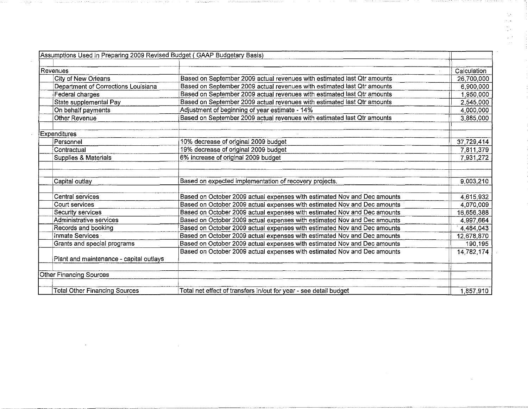| Assumptions Used in Preparing 2009 Revised Budget (GAAP Budgetary Basis) |                                                                          |             |
|--------------------------------------------------------------------------|--------------------------------------------------------------------------|-------------|
|                                                                          |                                                                          |             |
| Revenues                                                                 |                                                                          | Calculation |
| City of New Orleans                                                      | Based on September 2009 actual revenues with estimated last Qtr amounts  | 26,700,000  |
| Department of Corrections Louisiana                                      | Based on September 2009 actual revenues with estimated last Qtr amounts  | 6,900,000   |
| Federal charges                                                          | Based on September 2009 actual revenues with estimated last Qtr amounts  | 1,950,000   |
| State supplemental Pay                                                   | Based on September 2009 actual revenues with estimated last Qtr amounts  | 2,545,000   |
| On behalf payments                                                       | Adjustment of beginning of year estimate - 14%                           | 4,000,000   |
| Other Revenue                                                            | Based on September 2009 actual revenues with estimated last Qtr amounts  | 3,885,000   |
| Expenditures                                                             |                                                                          |             |
| Personnel                                                                | 10% decrease of original 2009 budget                                     | 37,729,414  |
| Contractual                                                              | 19% decrease of original 2009 budget                                     | 7,811,379   |
| Supplies & Materials                                                     | 6% increase of original 2009 budget                                      | 7,931,272   |
|                                                                          |                                                                          |             |
| Capital outlay                                                           | Based on expected implementation of recovery projects.                   | 9,003,210   |
| Central services                                                         | Based on October 2009 actual expenses with estimated Nov and Dec amounts | 4,615,932   |
| Court services                                                           | Based on October 2009 actual expenses with estimated Nov and Dec amounts | 4,070,009   |
| Security services                                                        | Based on October 2009 actual expenses with estimated Nov and Dec amounts | 16,656,388  |
| Administrative services                                                  | Based on October 2009 actual expenses with estimated Nov and Dec amounts | 4,997,664   |
| Records and booking                                                      | Based on October 2009 actual expenses with estimated Nov and Dec amounts | 4,484,043   |
| Inmate Services                                                          | Based on October 2009 actual expenses with estimated Nov and Dec amounts | 12,678,870  |
| Grants and special programs                                              | Based on October 2009 actual expenses with estimated Nov and Dec amounts | 190,195     |
| Plant and maintenance - capital outlays                                  | Based on October 2009 actual expenses with estimated Nov and Dec amounts | 14,782,174  |
|                                                                          |                                                                          |             |
| Other Financing Sources                                                  |                                                                          |             |
| <b>Total Other Financing Sources</b>                                     | Total net effect of transfers in/out for year - see detail budget        | 1,857,910   |

 $\label{eq:2.1} \mathcal{L}(\mathcal{A}) = \mathcal{L}(\mathcal{A}) \otimes \mathcal{L}(\mathcal{A})$ 

 $\sim 10^{11}$ 

 $\mathcal{L}(\mathcal{L}(\mathcal{L}))$  and  $\mathcal{L}(\mathcal{L}(\mathcal{L}))$  and  $\mathcal{L}(\mathcal{L}(\mathcal{L}))$  . Then the contribution of  $\mathcal{L}(\mathcal{L})$